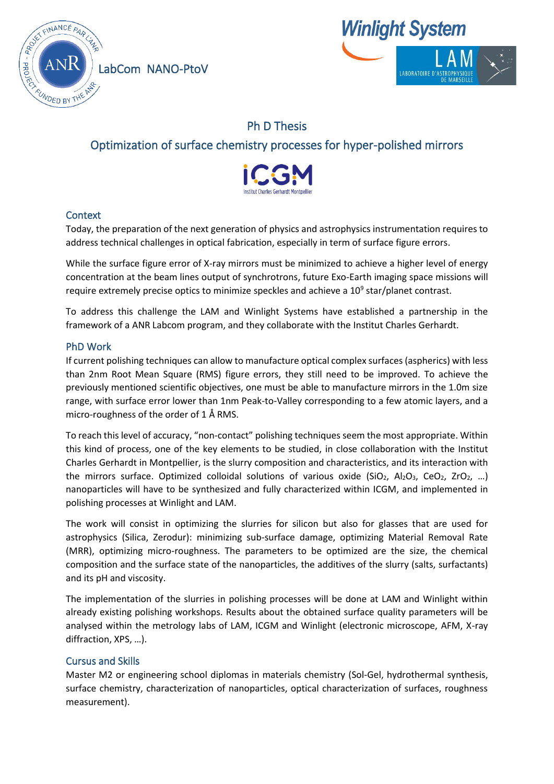

LabCom NANO-PtoV



# Ph D Thesis

# Optimization of surface chemistry processes for hyper-polished mirrors



## **Context**

Today, the preparation of the next generation of physics and astrophysics instrumentation requires to address technical challenges in optical fabrication, especially in term of surface figure errors.

While the surface figure error of X-ray mirrors must be minimized to achieve a higher level of energy concentration at the beam lines output of synchrotrons, future Exo-Earth imaging space missions will require extremely precise optics to minimize speckles and achieve a  $10^9$  star/planet contrast.

To address this challenge the LAM and Winlight Systems have established a partnership in the framework of a ANR Labcom program, and they collaborate with the Institut Charles Gerhardt.

### PhD Work

If current polishing techniques can allow to manufacture optical complex surfaces (aspherics) with less than 2nm Root Mean Square (RMS) figure errors, they still need to be improved. To achieve the previously mentioned scientific objectives, one must be able to manufacture mirrors in the 1.0m size range, with surface error lower than 1nm Peak-to-Valley corresponding to a few atomic layers, and a micro-roughness of the order of 1 Å RMS.

To reach this level of accuracy, "non-contact" polishing techniques seem the most appropriate. Within this kind of process, one of the key elements to be studied, in close collaboration with the Institut Charles Gerhardt in Montpellier, is the slurry composition and characteristics, and its interaction with the mirrors surface. Optimized colloidal solutions of various oxide (SiO<sub>2</sub>, Al<sub>2</sub>O<sub>3</sub>, CeO<sub>2</sub>, ZrO<sub>2</sub>, ...) nanoparticles will have to be synthesized and fully characterized within ICGM, and implemented in polishing processes at Winlight and LAM.

The work will consist in optimizing the slurries for silicon but also for glasses that are used for astrophysics (Silica, Zerodur): minimizing sub-surface damage, optimizing Material Removal Rate (MRR), optimizing micro-roughness. The parameters to be optimized are the size, the chemical composition and the surface state of the nanoparticles, the additives of the slurry (salts, surfactants) and its pH and viscosity.

The implementation of the slurries in polishing processes will be done at LAM and Winlight within already existing polishing workshops. Results about the obtained surface quality parameters will be analysed within the metrology labs of LAM, ICGM and Winlight (electronic microscope, AFM, X-ray diffraction, XPS, …).

### Cursus and Skills

Master M2 or engineering school diplomas in materials chemistry (Sol-Gel, hydrothermal synthesis, surface chemistry, characterization of nanoparticles, optical characterization of surfaces, roughness measurement).